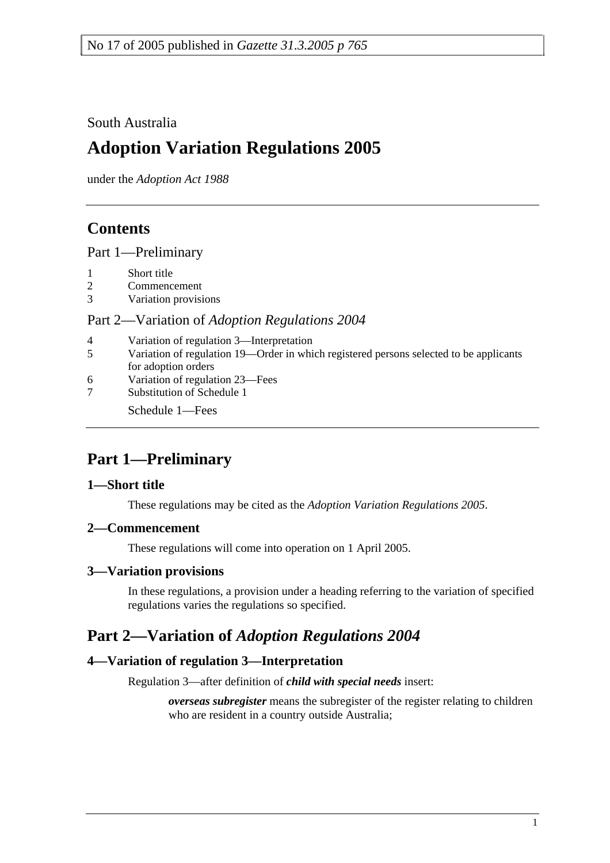South Australia

# **Adoption Variation Regulations 2005**

under the *Adoption Act 1988*

## **Contents**

Part 1—Preliminary

- 1 Short title
- 2 Commencement
- 3 Variation provisions

#### Part 2—Variation of *Adoption Regulations 2004*

- 4 Variation of regulation 3—Interpretation
- 5 Variation of regulation 19—Order in which registered persons selected to be applicants for adoption orders
- 6 Variation of regulation 23—Fees
- 7 Substitution of Schedule 1

Schedule 1—Fees

## **Part 1—Preliminary**

### **1—Short title**

These regulations may be cited as the *Adoption Variation Regulations 2005*.

### **2—Commencement**

These regulations will come into operation on 1 April 2005.

### **3—Variation provisions**

In these regulations, a provision under a heading referring to the variation of specified regulations varies the regulations so specified.

## **Part 2—Variation of** *Adoption Regulations 2004*

### **4—Variation of regulation 3—Interpretation**

Regulation 3—after definition of *child with special needs* insert:

*overseas subregister* means the subregister of the register relating to children who are resident in a country outside Australia;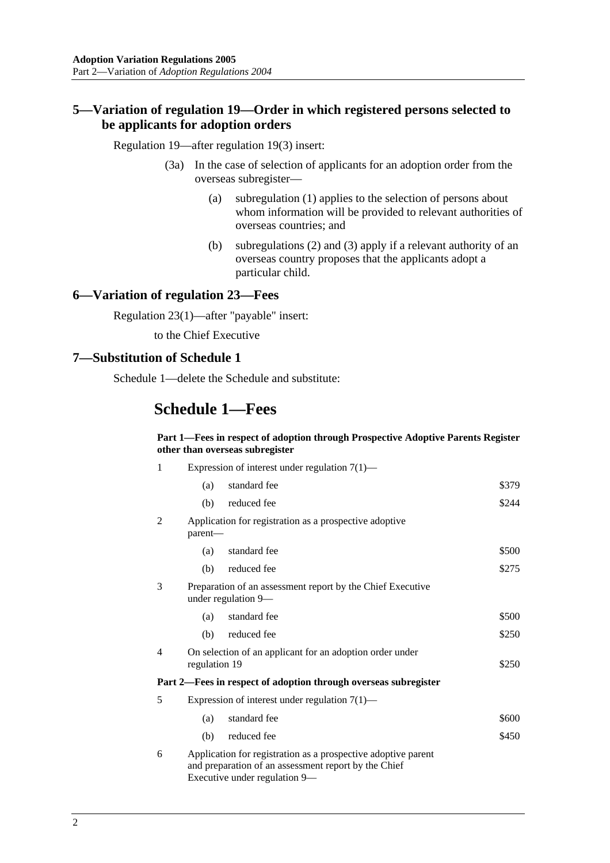#### **5—Variation of regulation 19—Order in which registered persons selected to be applicants for adoption orders**

Regulation 19—after regulation 19(3) insert:

- (3a) In the case of selection of applicants for an adoption order from the overseas subregister—
	- (a) subregulation (1) applies to the selection of persons about whom information will be provided to relevant authorities of overseas countries; and
	- (b) subregulations (2) and (3) apply if a relevant authority of an overseas country proposes that the applicants adopt a particular child.

#### **6—Variation of regulation 23—Fees**

Regulation 23(1)—after "payable" insert:

to the Chief Executive

#### **7—Substitution of Schedule 1**

Schedule 1—delete the Schedule and substitute:

### **Schedule 1—Fees**

#### **Part 1—Fees in respect of adoption through Prospective Adoptive Parents Register other than overseas subregister**

| 1 | Expression of interest under regulation $7(1)$ —                                                                                                       |                                                                           |       |  |
|---|--------------------------------------------------------------------------------------------------------------------------------------------------------|---------------------------------------------------------------------------|-------|--|
|   | (a)                                                                                                                                                    | standard fee                                                              | \$379 |  |
|   | (b)                                                                                                                                                    | reduced fee                                                               | \$244 |  |
| 2 | Application for registration as a prospective adoptive<br>parent-                                                                                      |                                                                           |       |  |
|   | (a)                                                                                                                                                    | standard fee                                                              | \$500 |  |
|   | (b)                                                                                                                                                    | reduced fee                                                               | \$275 |  |
| 3 | Preparation of an assessment report by the Chief Executive<br>under regulation 9-                                                                      |                                                                           |       |  |
|   | (a)                                                                                                                                                    | standard fee                                                              | \$500 |  |
|   | (b)                                                                                                                                                    | reduced fee                                                               | \$250 |  |
| 4 |                                                                                                                                                        | On selection of an applicant for an adoption order under<br>regulation 19 |       |  |
|   |                                                                                                                                                        | Part 2—Fees in respect of adoption through overseas subregister           |       |  |
| 5 | Expression of interest under regulation $7(1)$ —                                                                                                       |                                                                           |       |  |
|   | (a)                                                                                                                                                    | standard fee                                                              | \$600 |  |
|   | (b)                                                                                                                                                    | reduced fee                                                               | \$450 |  |
| 6 | Application for registration as a prospective adoptive parent<br>and preparation of an assessment report by the Chief<br>Executive under regulation 9— |                                                                           |       |  |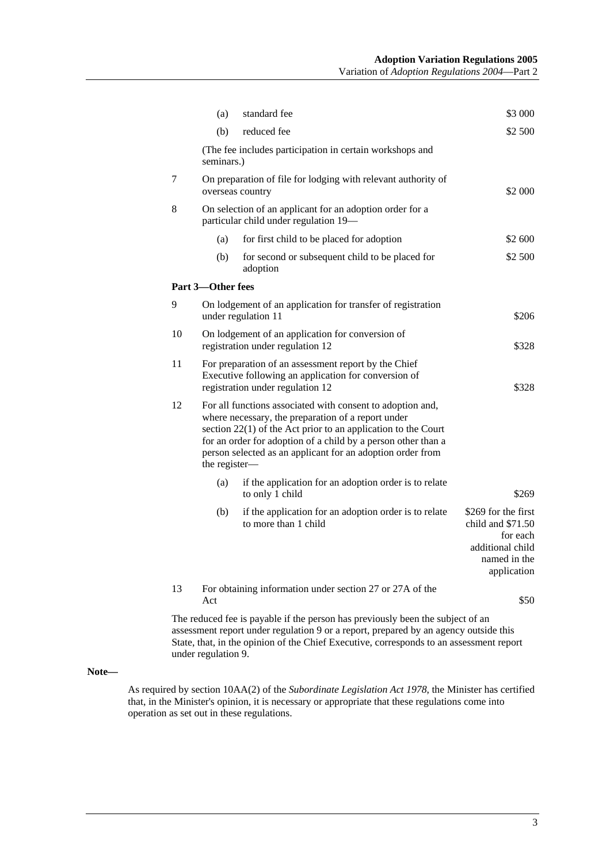|                   | (a)                                                                                                                                                                                                                                                                                                                               | standard fee                                                                                                                                                           | \$3 000                                                                                                 |  |  |
|-------------------|-----------------------------------------------------------------------------------------------------------------------------------------------------------------------------------------------------------------------------------------------------------------------------------------------------------------------------------|------------------------------------------------------------------------------------------------------------------------------------------------------------------------|---------------------------------------------------------------------------------------------------------|--|--|
|                   | (b)                                                                                                                                                                                                                                                                                                                               | reduced fee                                                                                                                                                            | \$2 500                                                                                                 |  |  |
|                   | (The fee includes participation in certain workshops and<br>seminars.)                                                                                                                                                                                                                                                            |                                                                                                                                                                        |                                                                                                         |  |  |
| 7                 | On preparation of file for lodging with relevant authority of<br>\$2 000<br>overseas country                                                                                                                                                                                                                                      |                                                                                                                                                                        |                                                                                                         |  |  |
| 8                 | On selection of an applicant for an adoption order for a<br>particular child under regulation 19-                                                                                                                                                                                                                                 |                                                                                                                                                                        |                                                                                                         |  |  |
|                   | (a)                                                                                                                                                                                                                                                                                                                               | for first child to be placed for adoption                                                                                                                              | \$2 600                                                                                                 |  |  |
|                   | (b)                                                                                                                                                                                                                                                                                                                               | for second or subsequent child to be placed for<br>adoption                                                                                                            | \$2 500                                                                                                 |  |  |
| Part 3-Other fees |                                                                                                                                                                                                                                                                                                                                   |                                                                                                                                                                        |                                                                                                         |  |  |
| 9                 |                                                                                                                                                                                                                                                                                                                                   | On lodgement of an application for transfer of registration<br>under regulation 11                                                                                     | \$206                                                                                                   |  |  |
| 10                | On lodgement of an application for conversion of<br>registration under regulation 12<br>\$328                                                                                                                                                                                                                                     |                                                                                                                                                                        |                                                                                                         |  |  |
| 11                | For preparation of an assessment report by the Chief<br>Executive following an application for conversion of<br>registration under regulation 12<br>\$328                                                                                                                                                                         |                                                                                                                                                                        |                                                                                                         |  |  |
| 12                | For all functions associated with consent to adoption and,<br>where necessary, the preparation of a report under<br>section 22(1) of the Act prior to an application to the Court<br>for an order for adoption of a child by a person other than a<br>person selected as an applicant for an adoption order from<br>the register- |                                                                                                                                                                        |                                                                                                         |  |  |
|                   | (a)                                                                                                                                                                                                                                                                                                                               | if the application for an adoption order is to relate<br>to only 1 child                                                                                               | \$269                                                                                                   |  |  |
|                   | (b)                                                                                                                                                                                                                                                                                                                               | if the application for an adoption order is to relate<br>to more than 1 child                                                                                          | \$269 for the first<br>child and \$71.50<br>for each<br>additional child<br>named in the<br>application |  |  |
| 13                | Act                                                                                                                                                                                                                                                                                                                               | For obtaining information under section 27 or 27A of the                                                                                                               | \$50                                                                                                    |  |  |
|                   |                                                                                                                                                                                                                                                                                                                                   | The reduced fee is payable if the person has previously been the subject of an<br>assessment report under regulation 9 or a report, prepared by an agency outside this |                                                                                                         |  |  |

assessment report under regulation 9 or a report, prepared by an agency outside this State, that, in the opinion of the Chief Executive, corresponds to an assessment report under regulation 9.

#### **Note—**

As required by section 10AA(2) of the *Subordinate Legislation Act 1978*, the Minister has certified that, in the Minister's opinion, it is necessary or appropriate that these regulations come into operation as set out in these regulations.